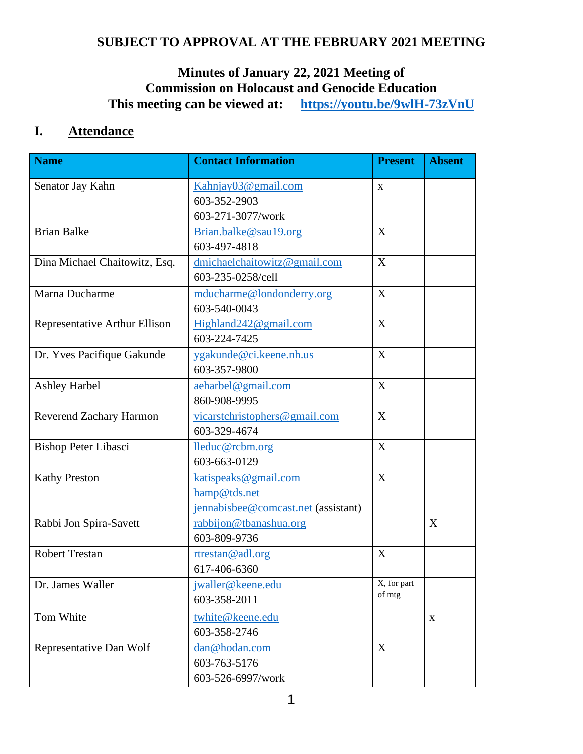# **SUBJECT TO APPROVAL AT THE FEBRUARY 2021 MEETING**

# **Minutes of January 22, 2021 Meeting of Commission on Holocaust and Genocide Education This meeting can be viewed at: <https://youtu.be/9wlH-73zVnU>**

# **I. Attendance**

| <b>Name</b>                   | <b>Contact Information</b>          | <b>Present</b> | <b>Absent</b> |
|-------------------------------|-------------------------------------|----------------|---------------|
| Senator Jay Kahn              | Kahnjay03@gmail.com                 | X              |               |
|                               | 603-352-2903                        |                |               |
|                               | 603-271-3077/work                   |                |               |
| <b>Brian Balke</b>            | Brian.balke@sau19.org               | X              |               |
|                               | 603-497-4818                        |                |               |
| Dina Michael Chaitowitz, Esq. | dmichaelchaitowitz@gmail.com        | X              |               |
|                               | 603-235-0258/cell                   |                |               |
| Marna Ducharme                | mducharme@londonderry.org           | X              |               |
|                               | 603-540-0043                        |                |               |
| Representative Arthur Ellison | Highland242@gmail.com               | X              |               |
|                               | 603-224-7425                        |                |               |
| Dr. Yves Pacifique Gakunde    | ygakunde@ci.keene.nh.us             | X              |               |
|                               | 603-357-9800                        |                |               |
| <b>Ashley Harbel</b>          | aeharbel@gmail.com                  | X              |               |
|                               | 860-908-9995                        |                |               |
| Reverend Zachary Harmon       | vicarstchristophers@gmail.com       | X              |               |
|                               | 603-329-4674                        |                |               |
| <b>Bishop Peter Libasci</b>   | lleduc@rcbm.org                     | X              |               |
|                               | 603-663-0129                        |                |               |
| <b>Kathy Preston</b>          | katispeaks@gmail.com                | X              |               |
|                               | hamp@tds.net                        |                |               |
|                               | jennabisbee@comcast.net (assistant) |                |               |
| Rabbi Jon Spira-Savett        | rabbijon@tbanashua.org              |                | X             |
|                               | 603-809-9736                        |                |               |
| <b>Robert Trestan</b>         | rtrestan@adl.org                    | X              |               |
|                               | 617-406-6360                        |                |               |
| Dr. James Waller              | jwaller@keene.edu                   | X, for part    |               |
|                               | 603-358-2011                        | of mtg         |               |
| Tom White                     | twhite@keene.edu                    |                | $\mathbf{X}$  |
|                               | 603-358-2746                        |                |               |
| Representative Dan Wolf       | dan@hodan.com                       | X              |               |
|                               | 603-763-5176                        |                |               |
|                               | 603-526-6997/work                   |                |               |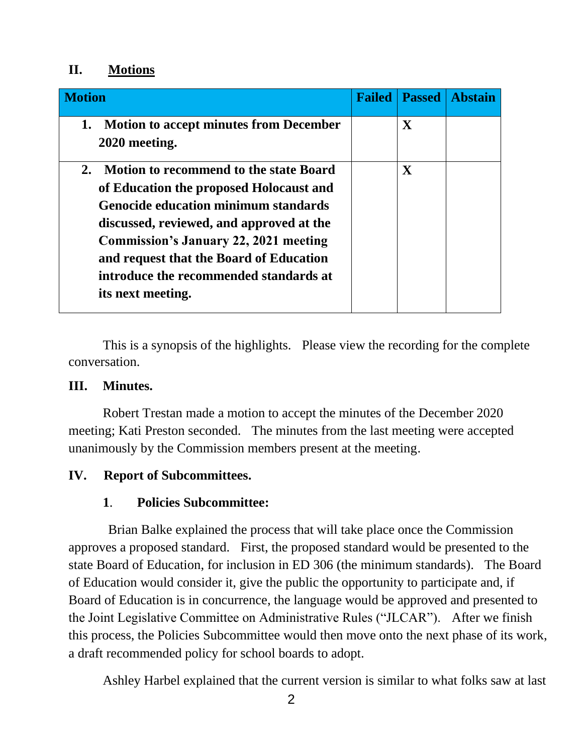## **II. Motions**

| <b>Motion</b>                                                                                                                                                                                                                                                                                                                                       | <b>Failed</b> | <b>Passed</b> | <b>Abstain</b> |
|-----------------------------------------------------------------------------------------------------------------------------------------------------------------------------------------------------------------------------------------------------------------------------------------------------------------------------------------------------|---------------|---------------|----------------|
| <b>Motion to accept minutes from December</b><br>1.<br>2020 meeting.                                                                                                                                                                                                                                                                                |               | $\mathbf X$   |                |
| <b>Motion to recommend to the state Board</b><br>2.<br>of Education the proposed Holocaust and<br><b>Genocide education minimum standards</b><br>discussed, reviewed, and approved at the<br><b>Commission's January 22, 2021 meeting</b><br>and request that the Board of Education<br>introduce the recommended standards at<br>its next meeting. |               | $\mathbf X$   |                |

This is a synopsis of the highlights. Please view the recording for the complete conversation.

## **III. Minutes.**

Robert Trestan made a motion to accept the minutes of the December 2020 meeting; Kati Preston seconded. The minutes from the last meeting were accepted unanimously by the Commission members present at the meeting.

## **IV. Report of Subcommittees.**

## **1**. **Policies Subcommittee:**

Brian Balke explained the process that will take place once the Commission approves a proposed standard. First, the proposed standard would be presented to the state Board of Education, for inclusion in ED 306 (the minimum standards). The Board of Education would consider it, give the public the opportunity to participate and, if Board of Education is in concurrence, the language would be approved and presented to the Joint Legislative Committee on Administrative Rules ("JLCAR"). After we finish this process, the Policies Subcommittee would then move onto the next phase of its work, a draft recommended policy for school boards to adopt.

Ashley Harbel explained that the current version is similar to what folks saw at last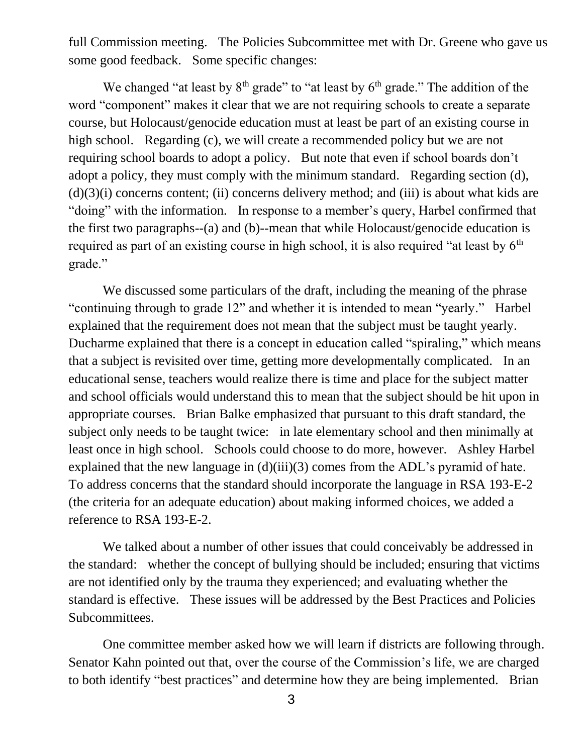full Commission meeting. The Policies Subcommittee met with Dr. Greene who gave us some good feedback. Some specific changes:

We changed "at least by  $8<sup>th</sup>$  grade" to "at least by  $6<sup>th</sup>$  grade." The addition of the word "component" makes it clear that we are not requiring schools to create a separate course, but Holocaust/genocide education must at least be part of an existing course in high school. Regarding (c), we will create a recommended policy but we are not requiring school boards to adopt a policy. But note that even if school boards don't adopt a policy, they must comply with the minimum standard. Regarding section (d),  $(d)(3)(i)$  concerns content; (ii) concerns delivery method; and (iii) is about what kids are "doing" with the information. In response to a member's query, Harbel confirmed that the first two paragraphs--(a) and (b)--mean that while Holocaust/genocide education is required as part of an existing course in high school, it is also required "at least by  $6<sup>th</sup>$ grade."

We discussed some particulars of the draft, including the meaning of the phrase "continuing through to grade 12" and whether it is intended to mean "yearly." Harbel explained that the requirement does not mean that the subject must be taught yearly. Ducharme explained that there is a concept in education called "spiraling," which means that a subject is revisited over time, getting more developmentally complicated. In an educational sense, teachers would realize there is time and place for the subject matter and school officials would understand this to mean that the subject should be hit upon in appropriate courses. Brian Balke emphasized that pursuant to this draft standard, the subject only needs to be taught twice: in late elementary school and then minimally at least once in high school. Schools could choose to do more, however. Ashley Harbel explained that the new language in (d)(iii)(3) comes from the ADL's pyramid of hate. To address concerns that the standard should incorporate the language in RSA 193-E-2 (the criteria for an adequate education) about making informed choices, we added a reference to RSA 193-E-2.

We talked about a number of other issues that could conceivably be addressed in the standard: whether the concept of bullying should be included; ensuring that victims are not identified only by the trauma they experienced; and evaluating whether the standard is effective. These issues will be addressed by the Best Practices and Policies Subcommittees.

One committee member asked how we will learn if districts are following through. Senator Kahn pointed out that, over the course of the Commission's life, we are charged to both identify "best practices" and determine how they are being implemented. Brian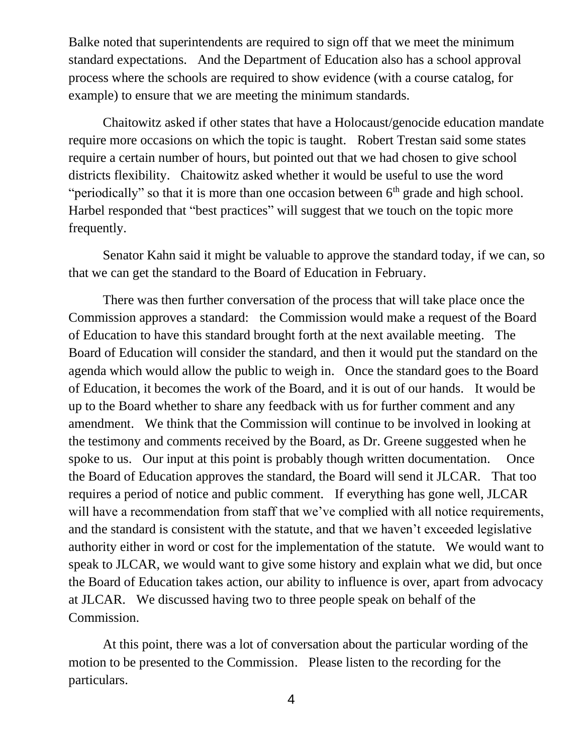Balke noted that superintendents are required to sign off that we meet the minimum standard expectations. And the Department of Education also has a school approval process where the schools are required to show evidence (with a course catalog, for example) to ensure that we are meeting the minimum standards.

Chaitowitz asked if other states that have a Holocaust/genocide education mandate require more occasions on which the topic is taught. Robert Trestan said some states require a certain number of hours, but pointed out that we had chosen to give school districts flexibility. Chaitowitz asked whether it would be useful to use the word "periodically" so that it is more than one occasion between  $6<sup>th</sup>$  grade and high school. Harbel responded that "best practices" will suggest that we touch on the topic more frequently.

Senator Kahn said it might be valuable to approve the standard today, if we can, so that we can get the standard to the Board of Education in February.

There was then further conversation of the process that will take place once the Commission approves a standard: the Commission would make a request of the Board of Education to have this standard brought forth at the next available meeting. The Board of Education will consider the standard, and then it would put the standard on the agenda which would allow the public to weigh in. Once the standard goes to the Board of Education, it becomes the work of the Board, and it is out of our hands. It would be up to the Board whether to share any feedback with us for further comment and any amendment. We think that the Commission will continue to be involved in looking at the testimony and comments received by the Board, as Dr. Greene suggested when he spoke to us. Our input at this point is probably though written documentation. Once the Board of Education approves the standard, the Board will send it JLCAR. That too requires a period of notice and public comment. If everything has gone well, JLCAR will have a recommendation from staff that we've complied with all notice requirements, and the standard is consistent with the statute, and that we haven't exceeded legislative authority either in word or cost for the implementation of the statute. We would want to speak to JLCAR, we would want to give some history and explain what we did, but once the Board of Education takes action, our ability to influence is over, apart from advocacy at JLCAR. We discussed having two to three people speak on behalf of the Commission.

At this point, there was a lot of conversation about the particular wording of the motion to be presented to the Commission. Please listen to the recording for the particulars.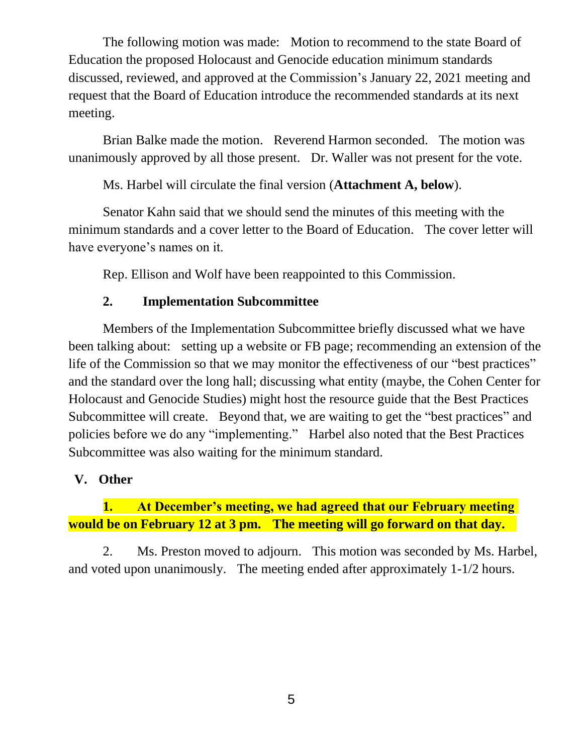The following motion was made: Motion to recommend to the state Board of Education the proposed Holocaust and Genocide education minimum standards discussed, reviewed, and approved at the Commission's January 22, 2021 meeting and request that the Board of Education introduce the recommended standards at its next meeting.

Brian Balke made the motion. Reverend Harmon seconded. The motion was unanimously approved by all those present. Dr. Waller was not present for the vote.

Ms. Harbel will circulate the final version (**Attachment A, below**).

Senator Kahn said that we should send the minutes of this meeting with the minimum standards and a cover letter to the Board of Education. The cover letter will have everyone's names on it.

Rep. Ellison and Wolf have been reappointed to this Commission.

# **2. Implementation Subcommittee**

Members of the Implementation Subcommittee briefly discussed what we have been talking about: setting up a website or FB page; recommending an extension of the life of the Commission so that we may monitor the effectiveness of our "best practices" and the standard over the long hall; discussing what entity (maybe, the Cohen Center for Holocaust and Genocide Studies) might host the resource guide that the Best Practices Subcommittee will create. Beyond that, we are waiting to get the "best practices" and policies before we do any "implementing." Harbel also noted that the Best Practices Subcommittee was also waiting for the minimum standard.

# **V. Other**

# **1. At December's meeting, we had agreed that our February meeting would be on February 12 at 3 pm. The meeting will go forward on that day.**

2. Ms. Preston moved to adjourn. This motion was seconded by Ms. Harbel, and voted upon unanimously. The meeting ended after approximately 1-1/2 hours.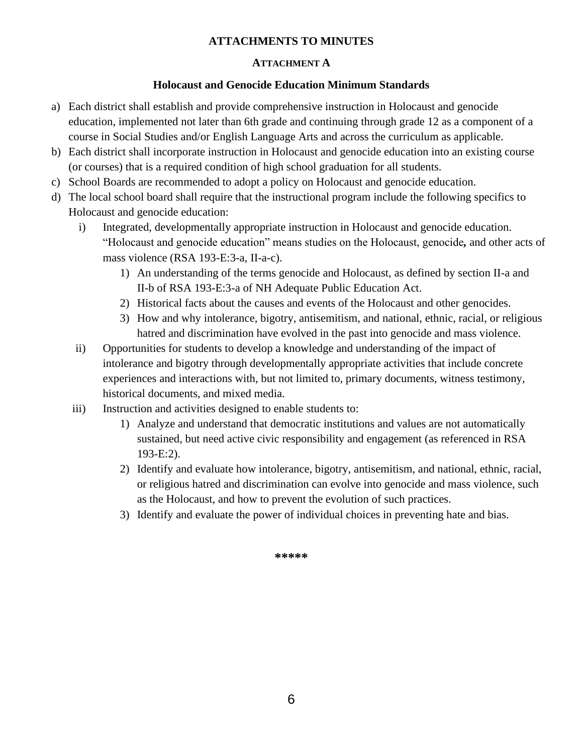### **ATTACHMENTS TO MINUTES**

### **ATTACHMENT A**

### **Holocaust and Genocide Education Minimum Standards**

- a) Each district shall establish and provide comprehensive instruction in Holocaust and genocide education, implemented not later than 6th grade and continuing through grade 12 as a component of a course in Social Studies and/or English Language Arts and across the curriculum as applicable.
- b) Each district shall incorporate instruction in Holocaust and genocide education into an existing course (or courses) that is a required condition of high school graduation for all students.
- c) School Boards are recommended to adopt a policy on Holocaust and genocide education.
- d) The local school board shall require that the instructional program include the following specifics to Holocaust and genocide education:
	- i) Integrated, developmentally appropriate instruction in Holocaust and genocide education. "Holocaust and genocide education" means studies on the Holocaust, genocide*,* and other acts of mass violence (RSA 193-E:3-a, II-a-c).
		- 1) An understanding of the terms genocide and Holocaust, as defined by section II-a and II-b of RSA 193-E:3-a of NH Adequate Public Education Act.
		- 2) Historical facts about the causes and events of the Holocaust and other genocides.
		- 3) How and why intolerance, bigotry, antisemitism, and national, ethnic, racial, or religious hatred and discrimination have evolved in the past into genocide and mass violence.
	- ii) Opportunities for students to develop a knowledge and understanding of the impact of intolerance and bigotry through developmentally appropriate activities that include concrete experiences and interactions with, but not limited to, primary documents, witness testimony, historical documents, and mixed media.
	- iii) Instruction and activities designed to enable students to:
		- 1) Analyze and understand that democratic institutions and values are not automatically sustained, but need active civic responsibility and engagement (as referenced in RSA 193-E:2).
		- 2) Identify and evaluate how intolerance, bigotry, antisemitism, and national, ethnic, racial, or religious hatred and discrimination can evolve into genocide and mass violence, such as the Holocaust, and how to prevent the evolution of such practices.
		- 3) Identify and evaluate the power of individual choices in preventing hate and bias.

**\*\*\*\*\***